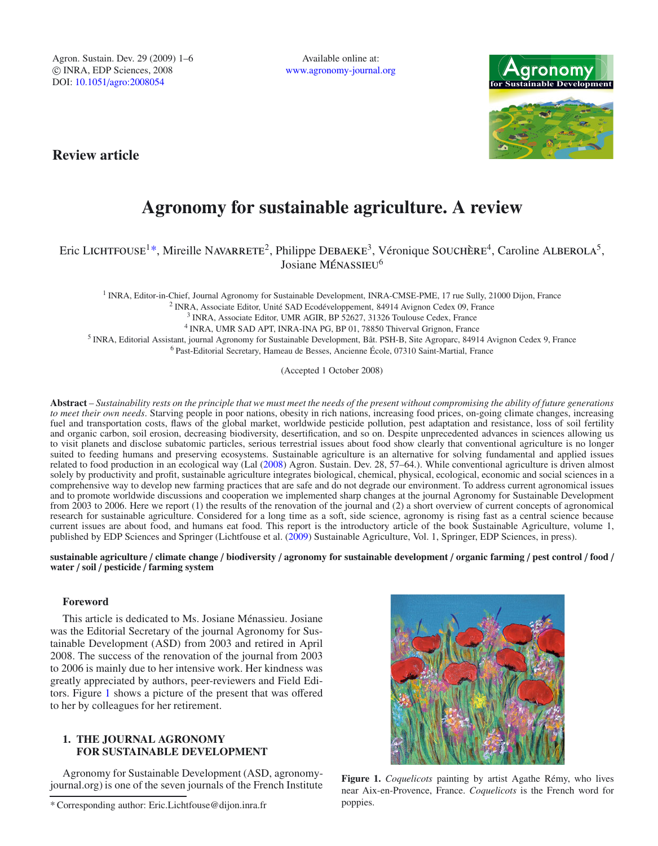Agron. Sustain. Dev. 29 (2009) 1–6 -c INRA, EDP Sciences, 2008 DOI: 10.1051/agro:2008054

Available online at: www.agronomy-journal.org



**Review article**

# **Agronomy for sustainable agriculture. A review**

# Eric LICHTFOUSE<sup>1\*</sup>, Mireille NAVARRETE<sup>2</sup>, Philippe DEBAEKE<sup>3</sup>, Véronique SOUCHERE<sup>4</sup>, Caroline ALBEROLA<sup>5</sup>, Josiane MÉNASSIEU<sup>6</sup>

 INRA, Editor-in-Chief, Journal Agronomy for Sustainable Development, INRA-CMSE-PME, 17 rue Sully, 21000 Dijon, France INRA, Associate Editor, Unité SAD Ecodéveloppement, 84914 Avignon Cedex 09, France INRA, Associate Editor, UMR AGIR, BP 52627, 31326 Toulouse Cedex, France INRA, UMR SAD APT, INRA-INA PG, BP 01, 78850 Thiverval Grignon, France INRA, Editorial Assistant, journal Agronomy for Sustainable Development, Bât. PSH-B, Site Agroparc, 84914 Avignon Cedex 9, France Past-Editorial Secretary, Hameau de Besses, Ancienne École, 07310 Saint-Martial, France

(Accepted 1 October 2008)

**Abstract** – *Sustainability rests on the principle that we must meet the needs of the present without compromising the ability of future generations to meet their own needs*. Starving people in poor nations, obesity in rich nations, increasing food prices, on-going climate changes, increasing fuel and transportation costs, flaws of the global market, worldwide pesticide pollution, pest adaptation and resistance, loss of soil fertility and organic carbon, soil erosion, decreasing biodiversity, desertification, and so on. Despite unprecedented advances in sciences allowing us to visit planets and disclose subatomic particles, serious terrestrial issues about food show clearly that conventional agriculture is no longer suited to feeding humans and preserving ecosystems. Sustainable agriculture is an alternative for solving fundamental and applied issues related to food production in an ecological way (Lal (2008) Agron. Sustain. Dev. 28, 57–64.). While conventional agriculture is driven almost solely by productivity and profit, sustainable agriculture integrates biological, chemical, physical, ecological, economic and social sciences in a comprehensive way to develop new farming practices that are safe and do not degrade our environment. To address current agronomical issues and to promote worldwide discussions and cooperation we implemented sharp changes at the journal Agronomy for Sustainable Development from 2003 to 2006. Here we report (1) the results of the renovation of the journal and (2) a short overview of current concepts of agronomical research for sustainable agriculture. Considered for a long time as a soft, side science, agronomy is rising fast as a central science because current issues are about food, and humans eat food. This report is the introductory article of the book Sustainable Agriculture, volume 1, published by EDP Sciences and Springer (Lichtfouse et al. (2009) Sustainable Agriculture, Vol. 1, Springer, EDP Sciences, in press).

#### **sustainable agriculture** / **climate change** / **biodiversity** / **agronomy for sustainable development** / **organic farming** / **pest control** / **food** / **water** / **soil** / **pesticide** / **farming system**

# **Foreword**

This article is dedicated to Ms. Josiane Ménassieu. Josiane was the Editorial Secretary of the journal Agronomy for Sustainable Development (ASD) from 2003 and retired in April 2008. The success of the renovation of the journal from 2003 to 2006 is mainly due to her intensive work. Her kindness was greatly appreciated by authors, peer-reviewers and Field Editors. Figure 1 shows a picture of the present that was offered to her by colleagues for her retirement.

# **1. THE JOURNAL AGRONOMY FOR SUSTAINABLE DEVELOPMENT**

Agronomy for Sustainable Development (ASD, agronomyjournal.org) is one of the seven journals of the French Institute



**Figure 1.** *Coquelicots* painting by artist Agathe Rémy, who lives near Aix-en-Provence, France. *Coquelicots* is the French word for poppies.

<sup>\*</sup> Corresponding author: Eric.Lichtfouse@dijon.inra.fr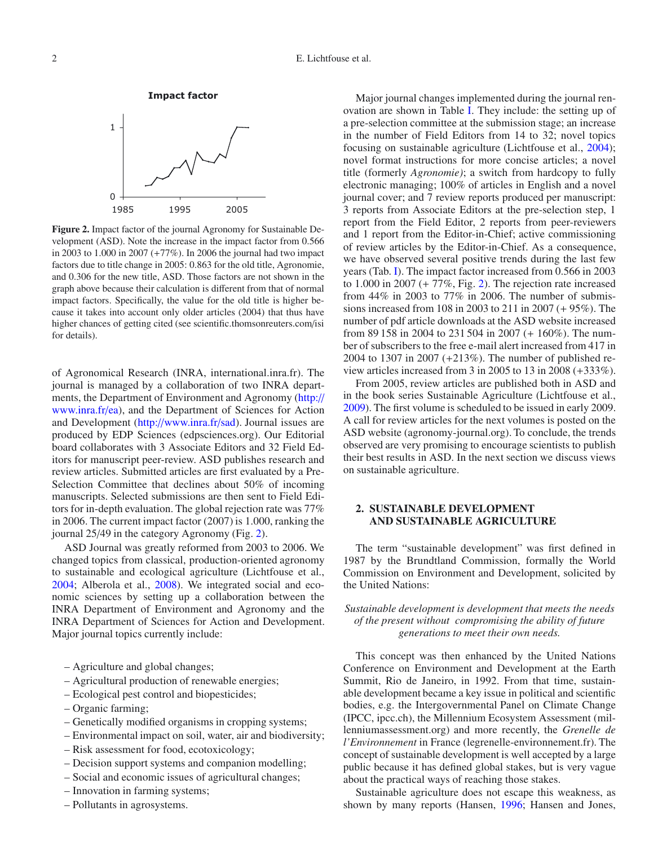

**Figure 2.** Impact factor of the journal Agronomy for Sustainable Development (ASD). Note the increase in the impact factor from 0.566 in 2003 to 1.000 in 2007 (+77%). In 2006 the journal had two impact factors due to title change in 2005: 0.863 for the old title, Agronomie, and 0.306 for the new title, ASD. Those factors are not shown in the graph above because their calculation is different from that of normal impact factors. Specifically, the value for the old title is higher because it takes into account only older articles (2004) that thus have higher chances of getting cited (see scientific.thomsonreuters.com/isi for details).

of Agronomical Research (INRA, international.inra.fr). The journal is managed by a collaboration of two INRA departments, the Department of Environment and Agronomy (http:// www.inra.fr/ea), and the Department of Sciences for Action and Development (http://www.inra.fr/sad). Journal issues are produced by EDP Sciences (edpsciences.org). Our Editorial board collaborates with 3 Associate Editors and 32 Field Editors for manuscript peer-review. ASD publishes research and review articles. Submitted articles are first evaluated by a Pre-Selection Committee that declines about 50% of incoming manuscripts. Selected submissions are then sent to Field Editors for in-depth evaluation. The global rejection rate was 77% in 2006. The current impact factor (2007) is 1.000, ranking the journal 25/49 in the category Agronomy (Fig. 2).

ASD Journal was greatly reformed from 2003 to 2006. We changed topics from classical, production-oriented agronomy to sustainable and ecological agriculture (Lichtfouse et al., 2004; Alberola et al., 2008). We integrated social and economic sciences by setting up a collaboration between the INRA Department of Environment and Agronomy and the INRA Department of Sciences for Action and Development. Major journal topics currently include:

- Agriculture and global changes;
- Agricultural production of renewable energies;
- Ecological pest control and biopesticides;
- Organic farming;
- Genetically modified organisms in cropping systems;
- Environmental impact on soil, water, air and biodiversity;
- Risk assessment for food, ecotoxicology;
- Decision support systems and companion modelling;
- Social and economic issues of agricultural changes;
- Innovation in farming systems;
- Pollutants in agrosystems.

Major journal changes implemented during the journal renovation are shown in Table I. They include: the setting up of a pre-selection committee at the submission stage; an increase in the number of Field Editors from 14 to 32; novel topics focusing on sustainable agriculture (Lichtfouse et al., 2004); novel format instructions for more concise articles; a novel title (formerly *Agronomie)*; a switch from hardcopy to fully electronic managing; 100% of articles in English and a novel journal cover; and 7 review reports produced per manuscript: 3 reports from Associate Editors at the pre-selection step, 1 report from the Field Editor, 2 reports from peer-reviewers and 1 report from the Editor-in-Chief; active commissioning of review articles by the Editor-in-Chief. As a consequence, we have observed several positive trends during the last few years (Tab. I). The impact factor increased from 0.566 in 2003 to 1.000 in 2007  $(+ 77\%,$  Fig. 2). The rejection rate increased from 44% in 2003 to 77% in 2006. The number of submissions increased from 108 in 2003 to 211 in 2007 (+ 95%). The number of pdf article downloads at the ASD website increased from 89 158 in 2004 to 231 504 in 2007 (+ 160%). The number of subscribers to the free e-mail alert increased from 417 in 2004 to 1307 in 2007 (+213%). The number of published review articles increased from 3 in 2005 to 13 in 2008 (+333%).

From 2005, review articles are published both in ASD and in the book series Sustainable Agriculture (Lichtfouse et al., 2009). The first volume is scheduled to be issued in early 2009. A call for review articles for the next volumes is posted on the ASD website (agronomy-journal.org). To conclude, the trends observed are very promising to encourage scientists to publish their best results in ASD. In the next section we discuss views on sustainable agriculture.

## **2. SUSTAINABLE DEVELOPMENT AND SUSTAINABLE AGRICULTURE**

The term "sustainable development" was first defined in 1987 by the Brundtland Commission, formally the World Commission on Environment and Development, solicited by the United Nations:

## *Sustainable development is development that meets the needs of the present without compromising the ability of future generations to meet their own needs.*

This concept was then enhanced by the United Nations Conference on Environment and Development at the Earth Summit, Rio de Janeiro, in 1992. From that time, sustainable development became a key issue in political and scientific bodies, e.g. the Intergovernmental Panel on Climate Change (IPCC, ipcc.ch), the Millennium Ecosystem Assessment (millenniumassessment.org) and more recently, the *Grenelle de l'Environnement* in France (legrenelle-environnement.fr). The concept of sustainable development is well accepted by a large public because it has defined global stakes, but is very vague about the practical ways of reaching those stakes.

Sustainable agriculture does not escape this weakness, as shown by many reports (Hansen, 1996; Hansen and Jones,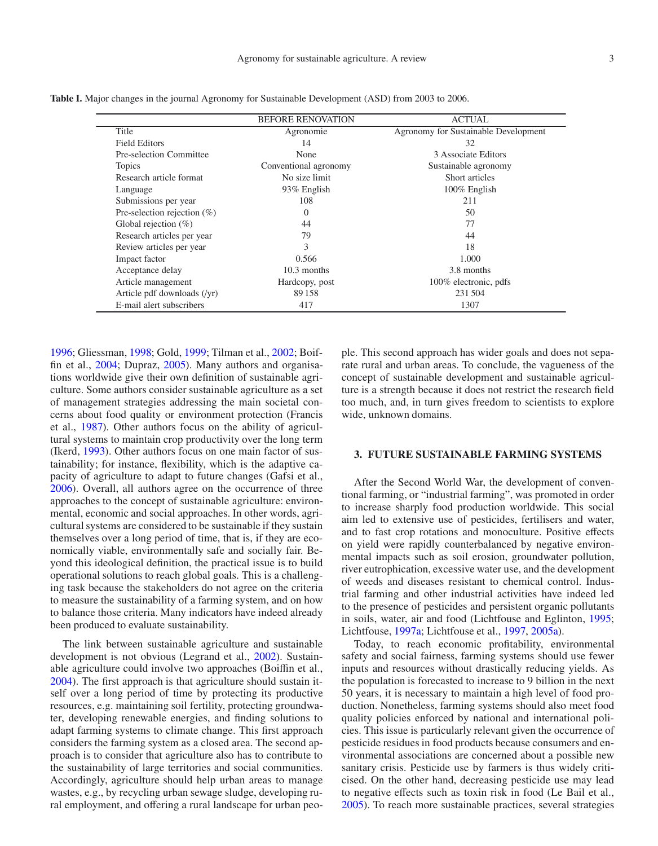|                                | <b>BEFORE RENOVATION</b> | <b>ACTUAL</b>                        |
|--------------------------------|--------------------------|--------------------------------------|
| Title                          | Agronomie                | Agronomy for Sustainable Development |
| <b>Field Editors</b>           | 14                       | 32                                   |
| Pre-selection Committee        | None                     | 3 Associate Editors                  |
| <b>Topics</b>                  | Conventional agronomy    | Sustainable agronomy                 |
| Research article format        | No size limit            | Short articles                       |
| Language                       | 93% English              | 100% English                         |
| Submissions per year           | 108                      | 211                                  |
| Pre-selection rejection $(\%)$ | $\Omega$                 | 50                                   |
| Global rejection $(\%)$        | 44                       | 77                                   |
| Research articles per year     | 79                       | 44                                   |
| Review articles per year       | 3                        | 18                                   |
| Impact factor                  | 0.566                    | 1.000                                |
| Acceptance delay               | $10.3$ months            | 3.8 months                           |
| Article management             | Hardcopy, post           | 100% electronic, pdfs                |
| Article pdf downloads (/yr)    | 89158                    | 231 504                              |
| E-mail alert subscribers       | 417                      | 1307                                 |

**Table I.** Major changes in the journal Agronomy for Sustainable Development (ASD) from 2003 to 2006.

1996; Gliessman, 1998; Gold, 1999; Tilman et al., 2002; Boiffin et al., 2004; Dupraz, 2005). Many authors and organisations worldwide give their own definition of sustainable agriculture. Some authors consider sustainable agriculture as a set of management strategies addressing the main societal concerns about food quality or environment protection (Francis et al., 1987). Other authors focus on the ability of agricultural systems to maintain crop productivity over the long term (Ikerd, 1993). Other authors focus on one main factor of sustainability; for instance, flexibility, which is the adaptive capacity of agriculture to adapt to future changes (Gafsi et al., 2006). Overall, all authors agree on the occurrence of three approaches to the concept of sustainable agriculture: environmental, economic and social approaches. In other words, agricultural systems are considered to be sustainable if they sustain themselves over a long period of time, that is, if they are economically viable, environmentally safe and socially fair. Beyond this ideological definition, the practical issue is to build operational solutions to reach global goals. This is a challenging task because the stakeholders do not agree on the criteria to measure the sustainability of a farming system, and on how to balance those criteria. Many indicators have indeed already been produced to evaluate sustainability.

The link between sustainable agriculture and sustainable development is not obvious (Legrand et al., 2002). Sustainable agriculture could involve two approaches (Boiffin et al., 2004). The first approach is that agriculture should sustain itself over a long period of time by protecting its productive resources, e.g. maintaining soil fertility, protecting groundwater, developing renewable energies, and finding solutions to adapt farming systems to climate change. This first approach considers the farming system as a closed area. The second approach is to consider that agriculture also has to contribute to the sustainability of large territories and social communities. Accordingly, agriculture should help urban areas to manage wastes, e.g., by recycling urban sewage sludge, developing rural employment, and offering a rural landscape for urban people. This second approach has wider goals and does not separate rural and urban areas. To conclude, the vagueness of the concept of sustainable development and sustainable agriculture is a strength because it does not restrict the research field too much, and, in turn gives freedom to scientists to explore wide, unknown domains.

#### **3. FUTURE SUSTAINABLE FARMING SYSTEMS**

After the Second World War, the development of conventional farming, or "industrial farming", was promoted in order to increase sharply food production worldwide. This social aim led to extensive use of pesticides, fertilisers and water, and to fast crop rotations and monoculture. Positive effects on yield were rapidly counterbalanced by negative environmental impacts such as soil erosion, groundwater pollution, river eutrophication, excessive water use, and the development of weeds and diseases resistant to chemical control. Industrial farming and other industrial activities have indeed led to the presence of pesticides and persistent organic pollutants in soils, water, air and food (Lichtfouse and Eglinton, 1995; Lichtfouse, 1997a; Lichtfouse et al., 1997, 2005a).

Today, to reach economic profitability, environmental safety and social fairness, farming systems should use fewer inputs and resources without drastically reducing yields. As the population is forecasted to increase to 9 billion in the next 50 years, it is necessary to maintain a high level of food production. Nonetheless, farming systems should also meet food quality policies enforced by national and international policies. This issue is particularly relevant given the occurrence of pesticide residues in food products because consumers and environmental associations are concerned about a possible new sanitary crisis. Pesticide use by farmers is thus widely criticised. On the other hand, decreasing pesticide use may lead to negative effects such as toxin risk in food (Le Bail et al., 2005). To reach more sustainable practices, several strategies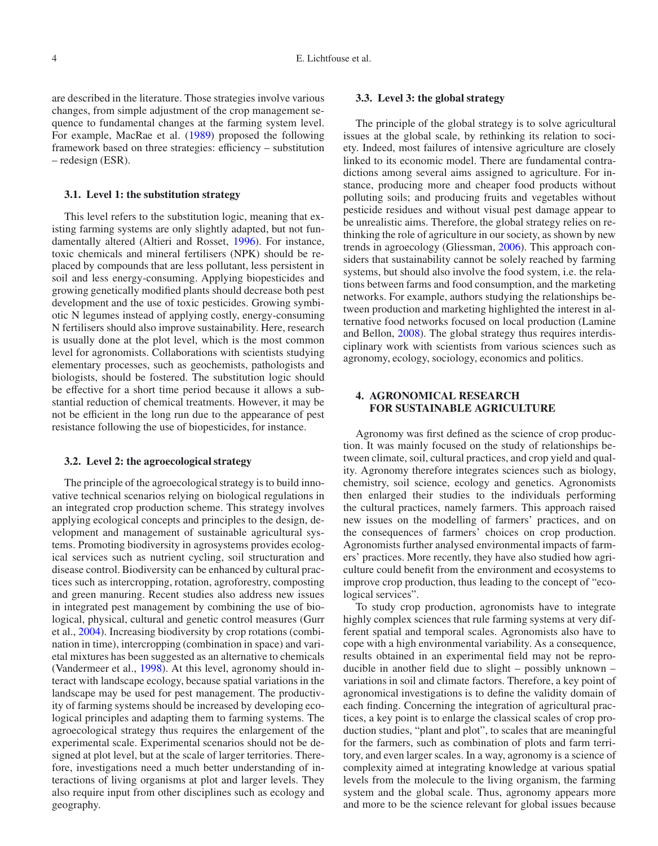are described in the literature. Those strategies involve various changes, from simple adjustment of the crop management sequence to fundamental changes at the farming system level. For example, MacRae et al. (1989) proposed the following framework based on three strategies: efficiency – substitution – redesign (ESR).

#### **3.1. Level 1: the substitution strategy**

This level refers to the substitution logic, meaning that existing farming systems are only slightly adapted, but not fundamentally altered (Altieri and Rosset, 1996). For instance, toxic chemicals and mineral fertilisers (NPK) should be replaced by compounds that are less pollutant, less persistent in soil and less energy-consuming. Applying biopesticides and growing genetically modified plants should decrease both pest development and the use of toxic pesticides. Growing symbiotic N legumes instead of applying costly, energy-consuming N fertilisers should also improve sustainability. Here, research is usually done at the plot level, which is the most common level for agronomists. Collaborations with scientists studying elementary processes, such as geochemists, pathologists and biologists, should be fostered. The substitution logic should be effective for a short time period because it allows a substantial reduction of chemical treatments. However, it may be not be efficient in the long run due to the appearance of pest resistance following the use of biopesticides, for instance.

#### **3.2. Level 2: the agroecological strategy**

The principle of the agroecological strategy is to build innovative technical scenarios relying on biological regulations in an integrated crop production scheme. This strategy involves applying ecological concepts and principles to the design, development and management of sustainable agricultural systems. Promoting biodiversity in agrosystems provides ecological services such as nutrient cycling, soil structuration and disease control. Biodiversity can be enhanced by cultural practices such as intercropping, rotation, agroforestry, composting and green manuring. Recent studies also address new issues in integrated pest management by combining the use of biological, physical, cultural and genetic control measures (Gurr et al., 2004). Increasing biodiversity by crop rotations (combination in time), intercropping (combination in space) and varietal mixtures has been suggested as an alternative to chemicals (Vandermeer et al., 1998). At this level, agronomy should interact with landscape ecology, because spatial variations in the landscape may be used for pest management. The productivity of farming systems should be increased by developing ecological principles and adapting them to farming systems. The agroecological strategy thus requires the enlargement of the experimental scale. Experimental scenarios should not be designed at plot level, but at the scale of larger territories. Therefore, investigations need a much better understanding of interactions of living organisms at plot and larger levels. They also require input from other disciplines such as ecology and geography.

#### **3.3. Level 3: the global strategy**

The principle of the global strategy is to solve agricultural issues at the global scale, by rethinking its relation to society. Indeed, most failures of intensive agriculture are closely linked to its economic model. There are fundamental contradictions among several aims assigned to agriculture. For instance, producing more and cheaper food products without polluting soils; and producing fruits and vegetables without pesticide residues and without visual pest damage appear to be unrealistic aims. Therefore, the global strategy relies on rethinking the role of agriculture in our society, as shown by new trends in agroecology (Gliessman, 2006). This approach considers that sustainability cannot be solely reached by farming systems, but should also involve the food system, i.e. the relations between farms and food consumption, and the marketing networks. For example, authors studying the relationships between production and marketing highlighted the interest in alternative food networks focused on local production (Lamine and Bellon, 2008). The global strategy thus requires interdisciplinary work with scientists from various sciences such as agronomy, ecology, sociology, economics and politics.

# **4. AGRONOMICAL RESEARCH FOR SUSTAINABLE AGRICULTURE**

Agronomy was first defined as the science of crop production. It was mainly focused on the study of relationships between climate, soil, cultural practices, and crop yield and quality. Agronomy therefore integrates sciences such as biology, chemistry, soil science, ecology and genetics. Agronomists then enlarged their studies to the individuals performing the cultural practices, namely farmers. This approach raised new issues on the modelling of farmers' practices, and on the consequences of farmers' choices on crop production. Agronomists further analysed environmental impacts of farmers' practices. More recently, they have also studied how agriculture could benefit from the environment and ecosystems to improve crop production, thus leading to the concept of "ecological services".

To study crop production, agronomists have to integrate highly complex sciences that rule farming systems at very different spatial and temporal scales. Agronomists also have to cope with a high environmental variability. As a consequence, results obtained in an experimental field may not be reproducible in another field due to slight – possibly unknown – variations in soil and climate factors. Therefore, a key point of agronomical investigations is to define the validity domain of each finding. Concerning the integration of agricultural practices, a key point is to enlarge the classical scales of crop production studies, "plant and plot", to scales that are meaningful for the farmers, such as combination of plots and farm territory, and even larger scales. In a way, agronomy is a science of complexity aimed at integrating knowledge at various spatial levels from the molecule to the living organism, the farming system and the global scale. Thus, agronomy appears more and more to be the science relevant for global issues because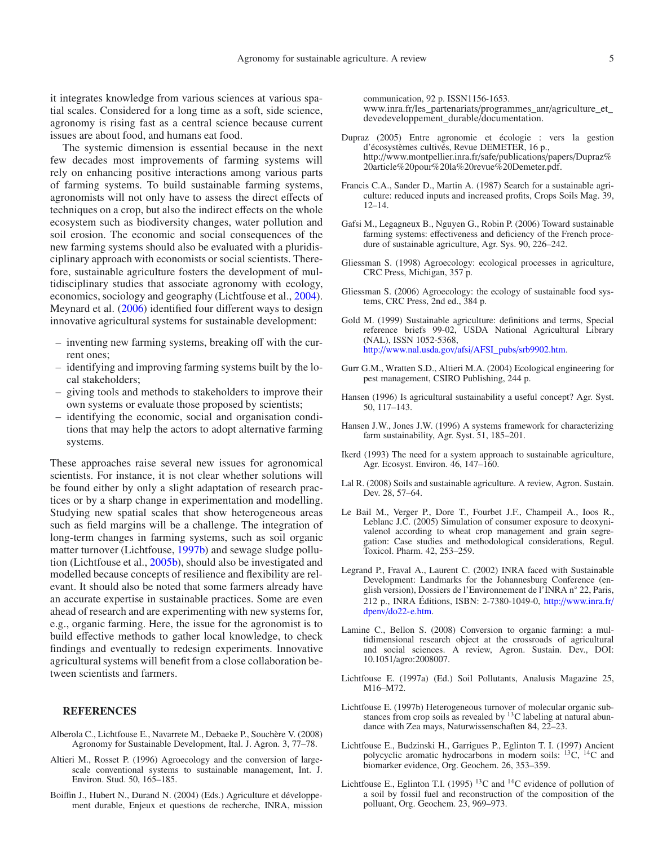it integrates knowledge from various sciences at various spatial scales. Considered for a long time as a soft, side science, agronomy is rising fast as a central science because current issues are about food, and humans eat food.

The systemic dimension is essential because in the next few decades most improvements of farming systems will rely on enhancing positive interactions among various parts of farming systems. To build sustainable farming systems, agronomists will not only have to assess the direct effects of techniques on a crop, but also the indirect effects on the whole ecosystem such as biodiversity changes, water pollution and soil erosion. The economic and social consequences of the new farming systems should also be evaluated with a pluridisciplinary approach with economists or social scientists. Therefore, sustainable agriculture fosters the development of multidisciplinary studies that associate agronomy with ecology, economics, sociology and geography (Lichtfouse et al., 2004). Meynard et al. (2006) identified four different ways to design innovative agricultural systems for sustainable development:

- inventing new farming systems, breaking off with the current ones;
- identifying and improving farming systems built by the local stakeholders;
- giving tools and methods to stakeholders to improve their own systems or evaluate those proposed by scientists;
- identifying the economic, social and organisation conditions that may help the actors to adopt alternative farming systems.

These approaches raise several new issues for agronomical scientists. For instance, it is not clear whether solutions will be found either by only a slight adaptation of research practices or by a sharp change in experimentation and modelling. Studying new spatial scales that show heterogeneous areas such as field margins will be a challenge. The integration of long-term changes in farming systems, such as soil organic matter turnover (Lichtfouse, 1997b) and sewage sludge pollution (Lichtfouse et al., 2005b), should also be investigated and modelled because concepts of resilience and flexibility are relevant. It should also be noted that some farmers already have an accurate expertise in sustainable practices. Some are even ahead of research and are experimenting with new systems for, e.g., organic farming. Here, the issue for the agronomist is to build effective methods to gather local knowledge, to check findings and eventually to redesign experiments. Innovative agricultural systems will benefit from a close collaboration between scientists and farmers.

#### **REFERENCES**

- Alberola C., Lichtfouse E., Navarrete M., Debaeke P., Souchère V. (2008) Agronomy for Sustainable Development, Ital. J. Agron. 3, 77–78.
- Altieri M., Rosset P. (1996) Agroecology and the conversion of largescale conventional systems to sustainable management, Int. J. Environ. Stud. 50, 165–185.
- Boiffin J., Hubert N., Durand N. (2004) (Eds.) Agriculture et développement durable, Enjeux et questions de recherche, INRA, mission

communication, 92 p. ISSN1156-1653. www.inra.fr/les\_partenariats/programmes\_anr/agriculture\_et\_ devedeveloppement\_durable/documentation.

- Dupraz (2005) Entre agronomie et écologie : vers la gestion d'écosystèmes cultivés, Revue DEMETER, 16 p., http://www.montpellier.inra.fr/safe/publications/papers/Dupraz% 20article%20pour%20la%20revue%20Demeter.pdf.
- Francis C.A., Sander D., Martin A. (1987) Search for a sustainable agriculture: reduced inputs and increased profits, Crops Soils Mag. 39, 12–14.
- Gafsi M., Legagneux B., Nguyen G., Robin P. (2006) Toward sustainable farming systems: effectiveness and deficiency of the French procedure of sustainable agriculture, Agr. Sys. 90, 226–242.
- Gliessman S. (1998) Agroecology: ecological processes in agriculture, CRC Press, Michigan, 357 p.
- Gliessman S. (2006) Agroecology: the ecology of sustainable food systems, CRC Press, 2nd ed., 384 p.
- Gold M. (1999) Sustainable agriculture: definitions and terms, Special reference briefs 99-02, USDA National Agricultural Library (NAL), ISSN 1052-5368, http://www.nal.usda.gov/afsi/AFSI\_pubs/srb9902.htm.
- Gurr G.M., Wratten S.D., Altieri M.A. (2004) Ecological engineering for pest management, CSIRO Publishing, 244 p.
- Hansen (1996) Is agricultural sustainability a useful concept? Agr. Syst. 50, 117–143.
- Hansen J.W., Jones J.W. (1996) A systems framework for characterizing farm sustainability, Agr. Syst. 51, 185–201.
- Ikerd (1993) The need for a system approach to sustainable agriculture, Agr. Ecosyst. Environ. 46, 147–160.
- Lal R. (2008) Soils and sustainable agriculture. A review, Agron. Sustain. Dev. 28, 57–64.
- Le Bail M., Verger P., Dore T., Fourbet J.F., Champeil A., Ioos R., Leblanc J.C. (2005) Simulation of consumer exposure to deoxynivalenol according to wheat crop management and grain segregation: Case studies and methodological considerations, Regul. Toxicol. Pharm. 42, 253–259.
- Legrand P., Fraval A., Laurent C. (2002) INRA faced with Sustainable Development: Landmarks for the Johannesburg Conference (english version), Dossiers de l'Environnement de l'INRA n◦ 22, Paris, 212 p., INRA Éditions, ISBN: 2-7380-1049-0, http://www.inra.fr/ dpenv/do22-e.htm.
- Lamine C., Bellon S. (2008) Conversion to organic farming: a multidimensional research object at the crossroads of agricultural and social sciences. A review, Agron. Sustain. Dev., DOI: 10.1051/agro:2008007.
- Lichtfouse E. (1997a) (Ed.) Soil Pollutants, Analusis Magazine 25, M16–M72.
- Lichtfouse E. (1997b) Heterogeneous turnover of molecular organic substances from crop soils as revealed by  ${}^{13}$ C labeling at natural abundance with Zea mays, Naturwissenschaften 84, 22–23.
- Lichtfouse E., Budzinski H., Garrigues P., Eglinton T. I. (1997) Ancient polycyclic aromatic hydrocarbons in modern soils: <sup>13</sup>C, <sup>14</sup>C and biomarker evidence, Org. Geochem. 26, 353–359.
- Lichtfouse E., Eglinton T.I. (1995) <sup>13</sup>C and <sup>14</sup>C evidence of pollution of a soil by fossil fuel and reconstruction of the composition of the polluant, Org. Geochem. 23, 969–973.